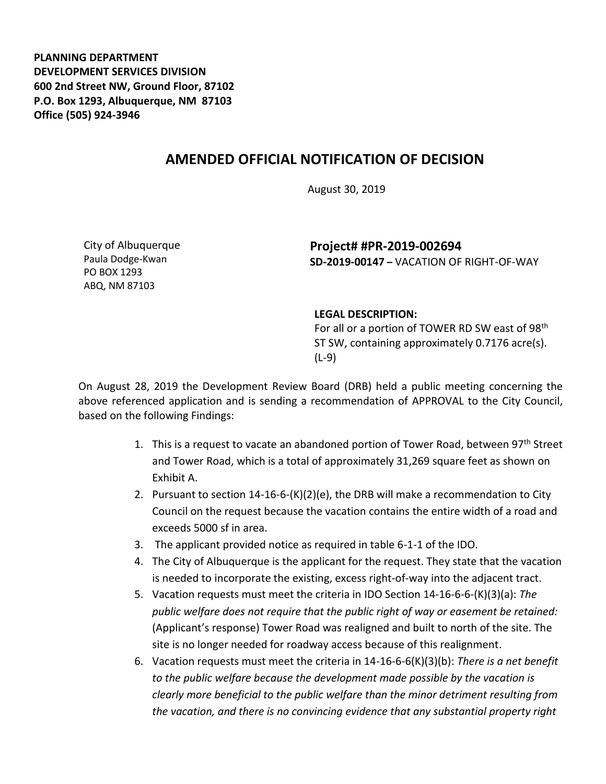**PLANNING DEPARTMENT DEVELOPMENT SERVICES DIVISION 600 2nd Street NW, Ground Floor, 87102 P.O. Box 1293, Albuquerque, NM 87103 Office (505) 924-3946** 

## **AMENDED OFFICIAL NOTIFICATION OF DECISION**

August 30, 2019

City of Albuquerque Paula Dodge-Kwan PO BOX 1293 ABQ, NM 87103

**Project# #PR-2019-002694 SD-2019-00147 –** VACATION OF RIGHT-OF-WAY

## **LEGAL DESCRIPTION:**

For all or a portion of TOWER RD SW east of 98th ST SW, containing approximately 0.7176 acre(s). (L-9)

On August 28, 2019 the Development Review Board (DRB) held a public meeting concerning the above referenced application and is sending a recommendation of APPROVAL to the City Council, based on the following Findings:

- 1. This is a request to vacate an abandoned portion of Tower Road, between 97<sup>th</sup> Street and Tower Road, which is a total of approximately 31,269 square feet as shown on Exhibit A.
- 2. Pursuant to section 14-16-6-(K)(2)(e), the DRB will make a recommendation to City Council on the request because the vacation contains the entire width of a road and exceeds 5000 sf in area.
- 3. The applicant provided notice as required in table 6-1-1 of the IDO.
- 4. The City of Albuquerque is the applicant for the request. They state that the vacation is needed to incorporate the existing, excess right-of-way into the adjacent tract.
- 5. Vacation requests must meet the criteria in IDO Section 14-16-6-6-(K)(3)(a): *The public welfare does not require that the public right of way or easement be retained:* (Applicant's response) Tower Road was realigned and built to north of the site. The site is no longer needed for roadway access because of this realignment.
- 6. Vacation requests must meet the criteria in 14-16-6-6(K)(3)(b): *There is a net benefit to the public welfare because the development made possible by the vacation is clearly more beneficial to the public welfare than the minor detriment resulting from the vacation, and there is no convincing evidence that any substantial property right*